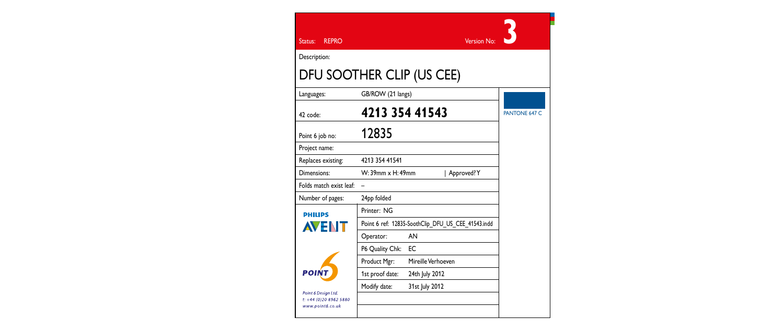| <b>REPRO</b><br>Status:                                           |                                                    | Version No:        |               |
|-------------------------------------------------------------------|----------------------------------------------------|--------------------|---------------|
| Description:                                                      |                                                    |                    |               |
| DFU SOOTHER CLIP (US CEE)                                         |                                                    |                    |               |
| Languages:                                                        | GB/ROW (21 langs)                                  |                    |               |
| 42 code:                                                          | 4213 354 41543                                     |                    | PANTONE 647 C |
| Point 6 job no:                                                   | 12835                                              |                    |               |
| Project name:                                                     |                                                    |                    |               |
| Replaces existing:                                                | 4713 354 41541                                     |                    |               |
| Dimensions:                                                       | W: 39mm x H: 49mm<br>Approved?Y                    |                    |               |
| Folds match exist leaf:                                           | $\overline{\phantom{0}}$                           |                    |               |
| Number of pages:                                                  | 24pp folded                                        |                    |               |
| <b>PHILIPS</b>                                                    | Printer: NG                                        |                    |               |
| <b>AVEN</b>                                                       | Point 6 ref: 12835-SoothClip DFU US CEE 41543.indd |                    |               |
|                                                                   | Operator:                                          | AN                 |               |
|                                                                   | P6 Quality Chk:                                    | EC                 |               |
|                                                                   | Product Mgr:                                       | Mireille Verhoeven |               |
| <b>POINT</b>                                                      | 1st proof date:                                    | 24th July 2012     |               |
| Point 6 Desian Ltd.<br>t: +44 (0)20 8962 5880<br>www.point6.co.uk | Modify date:                                       | 31st July 2012     |               |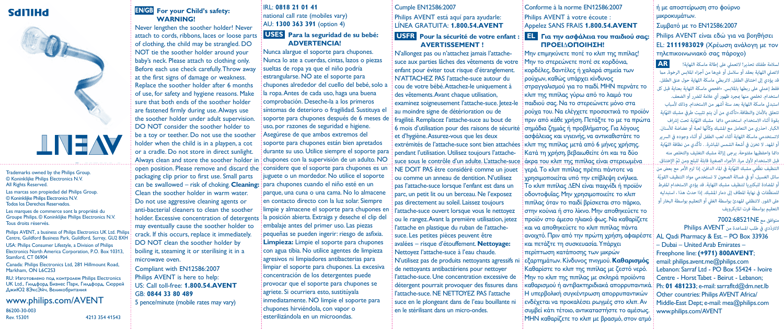# SdITIHd



Trademarks owned by the Philips Group. © Koninklijke Philips Electronics N.V. All Rights Reserved.

Las marcas son propiedad del Philips Group. © Koninklijke Philips Electronics N.V. Todos los Derechos Reservados.

Les marques de commerce sont la propriété du Groupe Philips. © Koninklijke Philips Electronics N.V. Tous droits réservés.

Philips AVENT, a business of Philips Electronics UK Ltd. Philips Centre, Guildford Business Park, Guildford, Surrey, GU2 8XH USA: Philips Consumer Lifestyle, a Division of Philips Electronics North America Corporation, P.O. Box 10313, Stamford, CT 06904

Canada: Philips Electronics Ltd, 281 Hillmount Road, Markham, ON L6C2S3

RU: Изготовлено под контролем Philips Electronics UK Ltd., Гилдфорд Бизнес Парк, Гилдфорд, Сюррей ДжиЮ2 8ЭксЭйч, Великобритания

#### www.philips.com/AVENT 86200-30-003

Rev. 15301

# **EN/GB For your Child's safety: WARNING!**

can be swallowed – risk of choking. **Cleaning: [para chupones cuando el niño esté en un** Never lengthen the soother holder! Never attach to cords, ribbons, laces or loose parts of clothing, the child may be strangled. DO NOT tie the soother holder around your baby's neck. Please attach to clothing only. Before each use check carefully. Throw away at the first signs of damage or weakness. Replace the soother holder after 6 months of use, for safety and hygiene reasons. Make sure that both ends of the soother holder are fastened firmly during use. Always use the soother holder under adult supervision. DO NOT consider the soother holder to be a toy or teether. Do not use the soother holder when the child is in a playpen, a cot or a cradle. Do not store in direct sunlight. Always clean and store the soother holder in open position. Please remove and discard the packaging clip prior to first use. Small parts Clean the soother holder in warm water. Do not use aggressive cleaning agents or anti-bacterial cleaners to clean the soother holder. Excessive concentration of detergents may eventually cause the soother holder to crack. If this occurs, replace it immediately. DO NOT clean the soother holder by boiling it, steaming it or sterilising it in a microwave oven.

Compliant with EN12586:2007 Philips AVENT is here to help: US: Call toll-free: **1.800.54.AVENT** GB: **0844 33 80 489** 

5 pence/minute (mobile rates may vary)

# IRL: **0818 21 01 41** national call rate (mobiles vary) AU: **1300 363 391** (option 4) **USES Para la seguridad de su bebé:**

 **ADVERTENCIA!** Nunca alargue el soporte para chupones. Nunca lo ate a cuerdas, cintas, lazos o piezas sueltas de ropa ya que el niño podría estrangularse. NO ate el soporte para chupones alrededor del cuello del bebé, solo a la ropa. Antes de cada uso, haga una buena comprobación. Deseche-la a los primeros síntomas de deterioro o fragilidad. Sustituya el soporte para chupones después de 6 meses de uso, por razones de seguridad e higiene. Asegúrese de que ambos extremos del soporte para chupones están bien apretados durante su uso. Utilice siempre el soporte para chupones con la supervisión de un adulto. NO considere que el soporte para chupones es un juguete o un mordedor. No utilice el soporte parque, una cuna o una cama. No lo almacene en contacto directo con la luz solar. Siempre limpie y almacene el soporte para chupones en la posición abierta. Extraiga y deseche el clip del embalaje antes del primer uso. Las piezas pequeñas se pueden ingerir: riesgo de asfixia. **Limpieza:** Limpie el soporte para chupones con agua tibia. No utilice agentes de limpieza agresivos ni limpiadores antibacterias para limpiar el soporte para chupones. La excesiva

concentración de los detergentes puede provocar que el soporte para chupones se agriete. Si ocurriera esto, sustitúyala inmediatamente. NO limpie el soporte para chupones hirviéndola, con vapor o 4213 354 41543 esterilizándola en un microondas.

#### Cumple EN12586:2007

Philips AVENT está aquí para ayudarle: LÍNEA GRATUITA: **1.800.54.AVENT**

# **USFR Pour la sécurité de votre enfant : AVERTISSEMENT !**

N'allongez pas ou n'attachez jamais l'attachesuce aux parties lâches des vêtements de votre enfant pour éviter tout risque d'étranglement. N'ATTACHEZ PAS l'attache-suce autour du cou de votre bébé. Attachez-le uniquement à des vêtements. Avant chaque utilisation, examinez soigneusement l'attache-suce, letez-le au moindre signe de détérioration ou de fragilité. Remplacez l'attache-suce au bout de 6 mois d'utilisation pour des raisons de sécurité et d'hygiène. Assurez-vous que les deux

<u>suce sous le contrôle d'un adulte. L'attache-suce ; άκρα του κλιπ της πιπίλας είναι στερεωμένα </u> pendant l'utilisation. Utilisez toujours l'attache-NE DOIT PAS être considéré comme un jouet ou comme un anneau de dentition. N'utilisez pas l'attache-suce lorsque l'enfant est dans un parc, un petit lit ou un berceau. Ne l'exposez pas directement au soleil. Laissez toujours l'attache-suce ouvert lorsque vous le nettoyez ou le rangez. Avant la première utilisation, jetez l'attache en plastique du ruban de l'attachesuce. Les petites pièces peuvent être avalées – risque d'étouffement. **Nettoyage:** Nettoyez l'attache-suce à l'eau chaude. N'utilisez pas de produits nettoyants agressifs ni de nettoyants antibactériens pour nettoyer l'attache-suce. Une concentration excessive de détergent pourrait provoquer des fissures dans l'attache-suce. NE NETTOYEZ PAS l'attache suce en le plongeant dans de l'eau bouillante n en le stérilisant dans un micro-ondes.

Conforme à la norme EN12586:2007 Philips AVENT à votre écoute : Appelez SANS FRAIS **1.800.54.AVENT**

# **EL Για την ασφάλεια του παιδιού σας: ΠΡΟΕΙ∆ΟΠΟΙΗΣΗ!**

Μην επιμηκύνετε ποτέ το κλιπ της πιπίλας! Μην το στερεώνετε ποτέ σε κορδόνια, .<br>Κορδέλες, δαντέλες ή χαλαρά σημεία των ρούχων, καθώς υπάρχει κίνδυνος στραγγαλισμού για το παιδί. ΜΗΝ περνάτε το κλιπ της πιπίλας γύρω από το λαιμό του παιδιού σας. Να το στερεώνετε μόνο στα ρούχα του. Να ελέγχετε προσεκτικά το προϊόν πριν από κάθε χρήση. Πετάξτε το με τα πρώτα σημάδια ζημιάς ή προβλήματος. Για λόγους ασφάλειας και υγιεινής, να αντικαθιστάτε το extrémités de l'attache-suce sont bien attachées : κλιπ της πιπίλας μετά από 6 μήνες χρήσης. Κατά τη χρήση, βεβαιωθείτε ότι και τα δύο

> γερά. Το κλιπ πιπίλας πρέπει πάντοτε να χρησιμοποιείται υπό την επίβλεψη ενήλικα. Το κλιπ πιπίλας ∆ΕΝ είναι παιχνίδι ή προϊόν οδοντοφυΐας. Μην χρησιμοποιείτε το κλιπ πιπίλας όταν το παιδί βρίσκεται στο πάρκο, στην κούνια ή στο λίκνο. Μην αποθηκεύετε το προϊόν στο άμεσο ηλιακό φως. Να καθαρίζετε και να αποθηκεύετε το κλιπ πιπίλας πάντα ανοιχτό. Πριν από την πρώτη χρήση, αφαιρέστε και πετάξτε τη συσκευασία. Υπάρχει περίπτωση κατάποσης των μικρών εξαρτημάτων. Κίνδυνος πνιγμού. **Καθαρισμός** Καθαρίστε το κλιπ της πιπίλας με ζεστό νερό. Μην το κλιπ της πιπίλας με σκληρά προϊόντα καθαρισμού ή αντιβακτηριδιακά απορρυπαντικά. Η υπερβολική συγκέντρωση απορρυπαντικών ενδέχεται να προκαλέσει ρωγμές στο κλιπ. Αν συμβεί κάτι τέτοιο, αντικαταστήστε το αμέσως.

ΜΗΝ καθαρίζετε το κλιπ με βρασμό, στον ατμό

ή με αποστείρωση στο φούρνο μικροκυμάτων.

Συμβατό με το EN12586:2007

Philips AVENT είναι εδώ για να βoηθήσει EL: **2111983029** (Χρέωση ανάλογη με τον τηλεπικοινωνιακό σας πάροχο)

لسلامة طفلك تحذير! لاتعملي على إطالة ماسكة اللهاية! **AR** لاتصلي اللهاية بعقد أو سلاسل أو غرها من أجزاء الملابس الرخوة, مما قد يؤدي إلى اختناق الطفل. لاتربطي ماسكة اللهاية حول عنق الطفل. فقط إعملي على ربطها بالملابس. «افحصي ماسكة اللهاية بعناية قبل كل استخدام. تخلص منها مجرد ظهور أي علامة للضرر أو الضعف. استبدلي ماسكة اللهاية بعد ستة أشهر من الاستخدام, وذلك لأسباب ّ تتعلق بالأمان والنظافة.«تأكدي من أن يتم تثبيت طرفي مشبك اللهاية .<br>بقوة أثناء الاستخدام. استخدمي داعًا مشبك اللهّاية تحت إشراف لكبار. احذري من التعامل مع المشبك وكأنّها لعبة أو عضاضة للأسنان. لاتستخدمي ماسكة اللهاية أثتاء لعب الطفل أو أثناء وجوده في السرير ّ أو المهد. لا تخزن في أشعة الشمس المباشرة. . تأكّدي من نظافة اللهاية دا¿ا واحفظيها مفتوحة. يرجى إزالة مشبك التغليف والتخلص منه ّ قبل الاستخدام لأول مرة. الأجزاء الصغة قابلة للبلع ومن ثم الإختناق. التنظيف نظّفى مشبك اللهّاية في الماء الدافئ، إذا لزم الأمر مع بعض من مائل الغسيل، أو في غسالة الصحون لا تستخدمي مواد التنظيف القويّة أو المضادة للبكتيا لتنظيف مشبك اللهاية. قد يؤدي الاستخدام المفرط للمنظّفات في نهاية المطاف إلى دمار المشبك. إذا حدث هذا ، استبدليه على الفور. لاتنظفي المهدئ بواسطة الغلي أو التعقيم بواسطة البخار أو التعقيم بواسطة فرت المايكرويف

#### متوافق مع NE7002:68521 ّ لاتترددي في طلب المساعدة من AVENT Philips

AL Qadi Pharmacy & Est. – PO Box 33936 – Dubai – United Arab Emirates – Freephone line: **(+971) 800AVENT**; email: philips.avent.me@philips.com Lebanon: Sarraf Ltd - PO Box 55424 - Ivoire Centre - Horst Tabet - Beirut - Lebanon; Ph: **01 481233**; e-mail: sarrafltd@dm.net.lb Other countries: Philips AVENT Africa/ Middle-East Dept; e-mail: mea@philips.com www.philips.com/AVENT